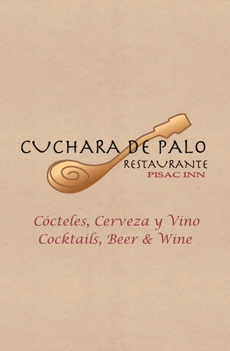## CUCHARADE PALO RESTAVRANTE **PISAC INN**

*Cocktails, Beer & Wine Cócteles, Cerveza y Vino*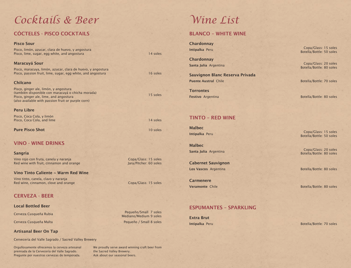# *Cocktails & Beer Wine List*

## CÓCTELES - PISCO COCKTAILS BLANCO – WHITE WINE

Pisco, limón, azucar, clara de huevo, y angostura Pisco, lime, sugar, egg white, and angostura 14 soles Maracuyá Sour Pisco, maracuya, limón, azucar, clara de huevo, y angostura Pisco, passion fruit, lime, sugar, egg white, and angostura 16 soles 16 soles Chilcano Pisco, ginger ale, limón, y angostura (también disponible con maracuyá o chicha morada) Pisco, ginger ale, lime, and angostura (also available with passion fruit or purple corn) Peru Libre Pisco, Coca Cola, y limón

Pisco, Coca Cola, and lime 14 soles

**Pure Pisco Shot** 10 soles

Pisco Sour

### VINO - WINE DRINKS

Sangria

Vino rojo con fruta, canela y naranja Red wine with fruit, cinnamon and orange

### Vino Tinto Caliente ~ Warm Red Wine

Vino tinto, canela, clavo y naranja Red wine, cinnamon, clove and orange Copa/Glass: 15 soles

### CERVEZA - BEER

### Local Bottled Beer

Cerveza Cusqueña Rubia

Cerveza Cusqueña Malta

### Artisanal Beer On Tap

Cervecería del Valle Sagrado / Sacred Valley Brewery

Orgullosamente ofrecemos la cerveza artesanal premiada de la Cervecería del Valle Sagrado. Pregunte por nuestras cervezas de temporada.

We proudly serve award winning craft beer from the Sacred Valley Brewery. Ask about our seasonal beers.

**Chardonnay** Intipalka Peru

**Chardonnay** Santa Julia Argentina

Sauvignon Blanc Reserva Privada Puente Austral Chile

**Torrontes** Festivo Argentina

## TINTO – RED WINE

Malbec Intipalka Peru

Malbec Santa Julia Argentina

Cabernet Sauvignon Los Vascos Argentina **Botella/Bottle: 80 soles** 

**Carmenere** Veramonte Chile

## ESPUMANTES – SPARKLING

Intipalka Peru Extra Brut

Copa/Glass: 15 soles Botella/Bottle: 50 soles

Copa/Glass: 20 soles Botella/Bottle: 80 soles

Botella/Bottle: 70 soles

Botella/Bottle: 80 soles

Copa/Glass: 15 soles Botella/Bottle: 50 soles

Copa/Glass: 20 soles Botella/Bottle: 80 soles

Botella/Bottle: 80 soles

Botella/Bottle: 70 soles

Copa/Glass: 15 soles

Pequeño/Small 7 soles Mediano/Medium 9 soles Pequeño / Small 8 soles

15 soles

Jara/Pitcher: 60 soles